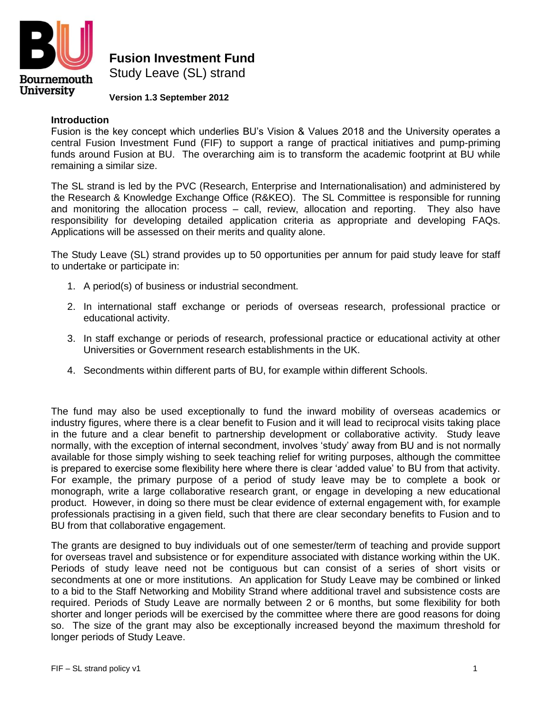

**Fusion Investment Fund**

Study Leave (SL) strand

## **Version 1.3 September 2012**

## **Introduction**

Fusion is the key concept which underlies BU's Vision & Values 2018 and the University operates a central Fusion Investment Fund (FIF) to support a range of practical initiatives and pump-priming funds around Fusion at BU. The overarching aim is to transform the academic footprint at BU while remaining a similar size.

The SL strand is led by the PVC (Research, Enterprise and Internationalisation) and administered by the Research & Knowledge Exchange Office (R&KEO). The SL Committee is responsible for running and monitoring the allocation process – call, review, allocation and reporting. They also have responsibility for developing detailed application criteria as appropriate and developing FAQs. Applications will be assessed on their merits and quality alone.

The Study Leave (SL) strand provides up to 50 opportunities per annum for paid study leave for staff to undertake or participate in:

- 1. A period(s) of business or industrial secondment.
- 2. In international staff exchange or periods of overseas research, professional practice or educational activity.
- 3. In staff exchange or periods of research, professional practice or educational activity at other Universities or Government research establishments in the UK.
- 4. Secondments within different parts of BU, for example within different Schools.

The fund may also be used exceptionally to fund the inward mobility of overseas academics or industry figures, where there is a clear benefit to Fusion and it will lead to reciprocal visits taking place in the future and a clear benefit to partnership development or collaborative activity. Study leave normally, with the exception of internal secondment, involves 'study' away from BU and is not normally available for those simply wishing to seek teaching relief for writing purposes, although the committee is prepared to exercise some flexibility here where there is clear 'added value' to BU from that activity. For example, the primary purpose of a period of study leave may be to complete a book or monograph, write a large collaborative research grant, or engage in developing a new educational product. However, in doing so there must be clear evidence of external engagement with, for example professionals practising in a given field, such that there are clear secondary benefits to Fusion and to BU from that collaborative engagement.

The grants are designed to buy individuals out of one semester/term of teaching and provide support for overseas travel and subsistence or for expenditure associated with distance working within the UK. Periods of study leave need not be contiguous but can consist of a series of short visits or secondments at one or more institutions. An application for Study Leave may be combined or linked to a bid to the Staff Networking and Mobility Strand where additional travel and subsistence costs are required. Periods of Study Leave are normally between 2 or 6 months, but some flexibility for both shorter and longer periods will be exercised by the committee where there are good reasons for doing so. The size of the grant may also be exceptionally increased beyond the maximum threshold for longer periods of Study Leave.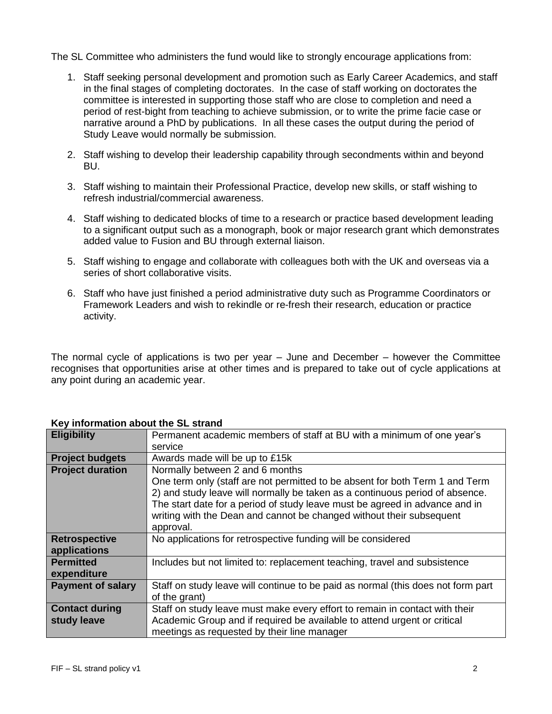The SL Committee who administers the fund would like to strongly encourage applications from:

- 1. Staff seeking personal development and promotion such as Early Career Academics, and staff in the final stages of completing doctorates. In the case of staff working on doctorates the committee is interested in supporting those staff who are close to completion and need a period of rest-bight from teaching to achieve submission, or to write the prime facie case or narrative around a PhD by publications. In all these cases the output during the period of Study Leave would normally be submission.
- 2. Staff wishing to develop their leadership capability through secondments within and beyond BU.
- 3. Staff wishing to maintain their Professional Practice, develop new skills, or staff wishing to refresh industrial/commercial awareness.
- 4. Staff wishing to dedicated blocks of time to a research or practice based development leading to a significant output such as a monograph, book or major research grant which demonstrates added value to Fusion and BU through external liaison.
- 5. Staff wishing to engage and collaborate with colleagues both with the UK and overseas via a series of short collaborative visits.
- 6. Staff who have just finished a period administrative duty such as Programme Coordinators or Framework Leaders and wish to rekindle or re-fresh their research, education or practice activity.

The normal cycle of applications is two per year – June and December – however the Committee recognises that opportunities arise at other times and is prepared to take out of cycle applications at any point during an academic year.

| <b>Eligibility</b>                   | Permanent academic members of staff at BU with a minimum of one year's                                                                                                                                                                                                                                                                                              |
|--------------------------------------|---------------------------------------------------------------------------------------------------------------------------------------------------------------------------------------------------------------------------------------------------------------------------------------------------------------------------------------------------------------------|
|                                      | service                                                                                                                                                                                                                                                                                                                                                             |
| <b>Project budgets</b>               | Awards made will be up to £15k                                                                                                                                                                                                                                                                                                                                      |
| <b>Project duration</b>              | Normally between 2 and 6 months<br>One term only (staff are not permitted to be absent for both Term 1 and Term<br>2) and study leave will normally be taken as a continuous period of absence.<br>The start date for a period of study leave must be agreed in advance and in<br>writing with the Dean and cannot be changed without their subsequent<br>approval. |
| <b>Retrospective</b><br>applications | No applications for retrospective funding will be considered                                                                                                                                                                                                                                                                                                        |
| <b>Permitted</b><br>expenditure      | Includes but not limited to: replacement teaching, travel and subsistence                                                                                                                                                                                                                                                                                           |
| <b>Payment of salary</b>             | Staff on study leave will continue to be paid as normal (this does not form part<br>of the grant)                                                                                                                                                                                                                                                                   |
| <b>Contact during</b><br>study leave | Staff on study leave must make every effort to remain in contact with their<br>Academic Group and if required be available to attend urgent or critical<br>meetings as requested by their line manager                                                                                                                                                              |

## **Key information about the SL strand**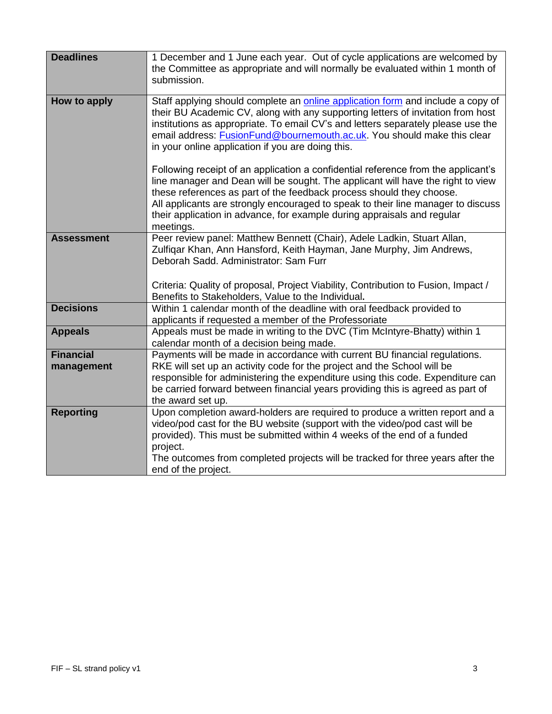| <b>Deadlines</b>               | 1 December and 1 June each year. Out of cycle applications are welcomed by<br>the Committee as appropriate and will normally be evaluated within 1 month of<br>submission.                                                                                                                                                                                                                                               |
|--------------------------------|--------------------------------------------------------------------------------------------------------------------------------------------------------------------------------------------------------------------------------------------------------------------------------------------------------------------------------------------------------------------------------------------------------------------------|
| How to apply                   | Staff applying should complete an online application form and include a copy of<br>their BU Academic CV, along with any supporting letters of invitation from host<br>institutions as appropriate. To email CV's and letters separately please use the<br>email address: FusionFund@bournemouth.ac.uk. You should make this clear<br>in your online application if you are doing this.                                   |
|                                | Following receipt of an application a confidential reference from the applicant's<br>line manager and Dean will be sought. The applicant will have the right to view<br>these references as part of the feedback process should they choose.<br>All applicants are strongly encouraged to speak to their line manager to discuss<br>their application in advance, for example during appraisals and regular<br>meetings. |
| <b>Assessment</b>              | Peer review panel: Matthew Bennett (Chair), Adele Ladkin, Stuart Allan,<br>Zulfigar Khan, Ann Hansford, Keith Hayman, Jane Murphy, Jim Andrews,<br>Deborah Sadd, Administrator: Sam Furr<br>Criteria: Quality of proposal, Project Viability, Contribution to Fusion, Impact /<br>Benefits to Stakeholders, Value to the Individual.                                                                                     |
| <b>Decisions</b>               | Within 1 calendar month of the deadline with oral feedback provided to<br>applicants if requested a member of the Professoriate                                                                                                                                                                                                                                                                                          |
| <b>Appeals</b>                 | Appeals must be made in writing to the DVC (Tim McIntyre-Bhatty) within 1<br>calendar month of a decision being made.                                                                                                                                                                                                                                                                                                    |
| <b>Financial</b><br>management | Payments will be made in accordance with current BU financial regulations.<br>RKE will set up an activity code for the project and the School will be<br>responsible for administering the expenditure using this code. Expenditure can<br>be carried forward between financial years providing this is agreed as part of<br>the award set up.                                                                           |
| <b>Reporting</b>               | Upon completion award-holders are required to produce a written report and a<br>video/pod cast for the BU website (support with the video/pod cast will be<br>provided). This must be submitted within 4 weeks of the end of a funded<br>project.<br>The outcomes from completed projects will be tracked for three years after the<br>end of the project.                                                               |